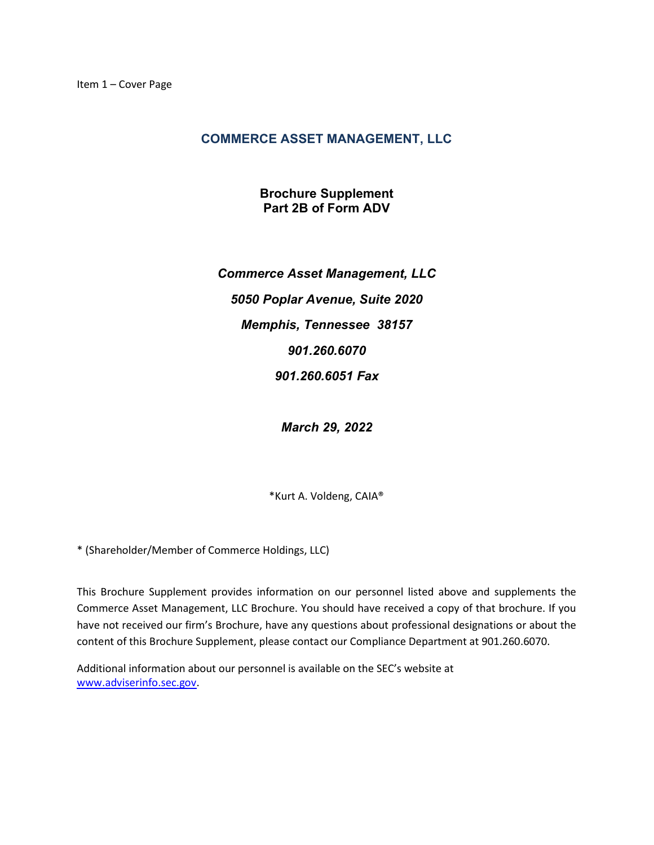# COMMERCE ASSET MANAGEMENT, LLC

Brochure Supplement Part 2B of Form ADV

Commerce Asset Management, LLC 5050 Poplar Avenue, Suite 2020 Memphis, Tennessee 38157 901.260.6070 901.260.6051 Fax

March 29, 2022

\*Kurt A. Voldeng, CAIA®

\* (Shareholder/Member of Commerce Holdings, LLC)

This Brochure Supplement provides information on our personnel listed above and supplements the Commerce Asset Management, LLC Brochure. You should have received a copy of that brochure. If you have not received our firm's Brochure, have any questions about professional designations or about the content of this Brochure Supplement, please contact our Compliance Department at 901.260.6070.

Additional information about our personnel is available on the SEC's website at www.adviserinfo.sec.gov.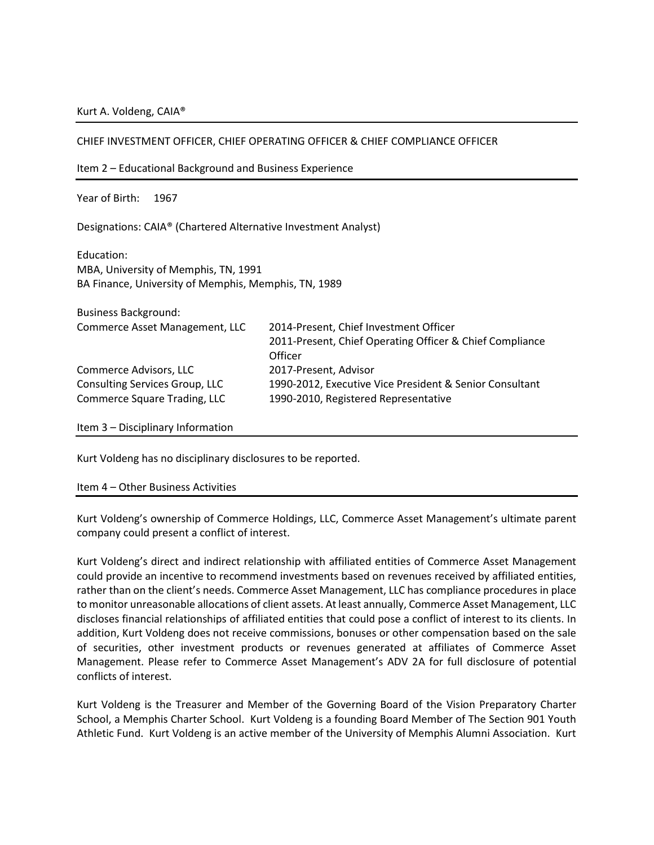#### Kurt A. Voldeng, CAIA®

| CHIEF INVESTMENT OFFICER, CHIEF OPERATING OFFICER & CHIEF COMPLIANCE OFFICER                               |                                                                                                               |
|------------------------------------------------------------------------------------------------------------|---------------------------------------------------------------------------------------------------------------|
| Item 2 – Educational Background and Business Experience                                                    |                                                                                                               |
| Year of Birth:<br>1967                                                                                     |                                                                                                               |
| Designations: CAIA® (Chartered Alternative Investment Analyst)                                             |                                                                                                               |
| Education:<br>MBA, University of Memphis, TN, 1991<br>BA Finance, University of Memphis, Memphis, TN, 1989 |                                                                                                               |
| <b>Business Background:</b>                                                                                |                                                                                                               |
| Commerce Asset Management, LLC                                                                             | 2014-Present, Chief Investment Officer<br>2011-Present, Chief Operating Officer & Chief Compliance<br>Officer |
| Commerce Advisors, LLC                                                                                     | 2017-Present, Advisor                                                                                         |
| Consulting Services Group, LLC                                                                             | 1990-2012, Executive Vice President & Senior Consultant                                                       |
| Commerce Square Trading, LLC                                                                               | 1990-2010, Registered Representative                                                                          |
| Item 3 - Disciplinary Information                                                                          |                                                                                                               |

 $\mathbf{C} = \mathbf{C} \mathbf{C} \mathbf{C} + \mathbf{C} \mathbf{C} \mathbf{C} + \mathbf{C} \mathbf{C} \mathbf{C} + \mathbf{C} \mathbf{C} \mathbf{C} \mathbf{C} + \mathbf{C} \mathbf{C} \mathbf{C} \mathbf{C} + \mathbf{C} \mathbf{C} \mathbf{C} \mathbf{C} \mathbf{C} \mathbf{C} \mathbf{C}$ 

Kurt Voldeng has no disciplinary disclosures to be reported.

#### Item 4 – Other Business Activities

Kurt Voldeng's ownership of Commerce Holdings, LLC, Commerce Asset Management's ultimate parent company could present a conflict of interest.

Kurt Voldeng's direct and indirect relationship with affiliated entities of Commerce Asset Management could provide an incentive to recommend investments based on revenues received by affiliated entities, rather than on the client's needs. Commerce Asset Management, LLC has compliance procedures in place to monitor unreasonable allocations of client assets. At least annually, Commerce Asset Management, LLC discloses financial relationships of affiliated entities that could pose a conflict of interest to its clients. In addition, Kurt Voldeng does not receive commissions, bonuses or other compensation based on the sale of securities, other investment products or revenues generated at affiliates of Commerce Asset Management. Please refer to Commerce Asset Management's ADV 2A for full disclosure of potential conflicts of interest.

Kurt Voldeng is the Treasurer and Member of the Governing Board of the Vision Preparatory Charter School, a Memphis Charter School. Kurt Voldeng is a founding Board Member of The Section 901 Youth Athletic Fund. Kurt Voldeng is an active member of the University of Memphis Alumni Association. Kurt